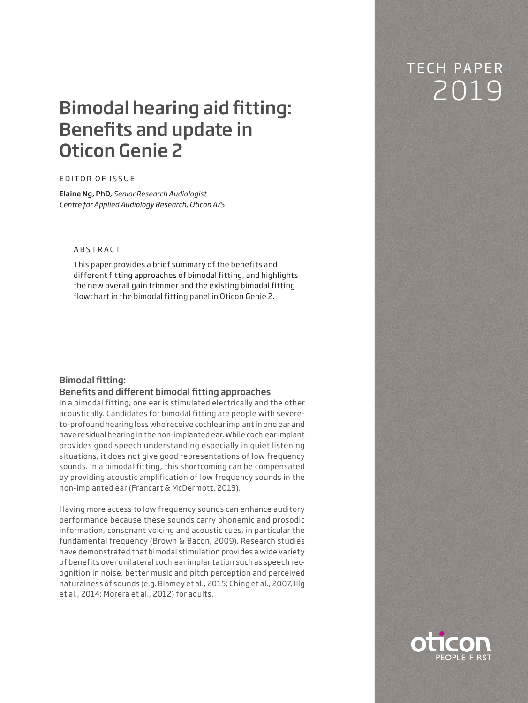# <sup>2019</sup> Bimodal hearing aid fitting: Benefits and update in Oticon Genie 2

### EDITOR OF ISSUE

Elaine Ng, PhD, *Senior Research Audiologist Centre for Applied Audiology Research, Oticon A/S*

# ABSTRACT

This paper provides a brief summary of the benefits and different fitting approaches of bimodal fitting, and highlights the new overall gain trimmer and the existing bimodal fitting flowchart in the bimodal fitting panel in Oticon Genie 2.

# Bimodal fitting:

### Benefits and different bimodal fitting approaches

In a bimodal fitting, one ear is stimulated electrically and the other acoustically. Candidates for bimodal fitting are people with severeto-profound hearing loss who receive cochlear implant in one ear and have residual hearing in the non-implanted ear. While cochlear implant provides good speech understanding especially in quiet listening situations, it does not give good representations of low frequency sounds. In a bimodal fitting, this shortcoming can be compensated by providing acoustic amplification of low frequency sounds in the non-implanted ear (Francart & McDermott, 2013).

Having more access to low frequency sounds can enhance auditory performance because these sounds carry phonemic and prosodic information, consonant voicing and acoustic cues, in particular the fundamental frequency (Brown & Bacon, 2009). Research studies have demonstrated that bimodal stimulation provides a wide variety of benefits over unilateral cochlear implantation such as speech recognition in noise, better music and pitch perception and perceived naturalness of sounds (e.g. Blamey et al., 2015; Ching et al., 2007, Illg et al., 2014; Morera et al., 2012) for adults.

# TECH PAPER

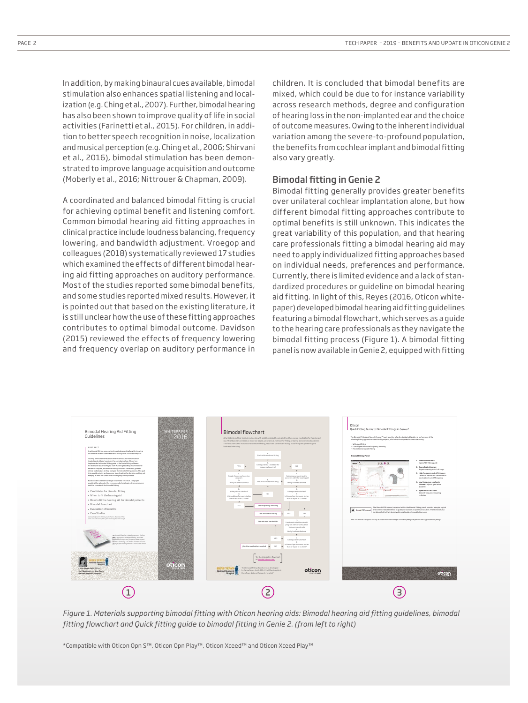In addition, by making binaural cues available, bimodal stimulation also enhances spatial listening and localization (e.g. Ching et al., 2007). Further, bimodal hearing has also been shown to improve quality of life in social activities (Farinetti et al., 2015). For children, in addition to better speech recognition in noise, localization and musical perception (e.g. Ching et al., 2006; Shirvani et al., 2016), bimodal stimulation has been demonstrated to improve language acquisition and outcome (Moberly et al., 2016; Nittrouer & Chapman, 2009).

A coordinated and balanced bimodal fitting is crucial for achieving optimal benefit and listening comfort. Common bimodal hearing aid fitting approaches in clinical practice include loudness balancing, frequency lowering, and bandwidth adjustment. Vroegop and colleagues (2018) systematically reviewed 17 studies which examined the effects of different bimodal hearing aid fitting approaches on auditory performance. Most of the studies reported some bimodal benefits, and some studies reported mixed results. However, it is pointed out that based on the existing literature, it is still unclear how the use of these fitting approaches contributes to optimal bimodal outcome. Davidson (2015) reviewed the effects of frequency lowering and frequency overlap on auditory performance in

children. It is concluded that bimodal benefits are mixed, which could be due to for instance variability across research methods, degree and configuration of hearing loss in the non-implanted ear and the choice of outcome measures. Owing to the inherent individual variation among the severe-to-profound population, the benefits from cochlear implant and bimodal fitting also vary greatly.

### **Bimodal fitting in Genie 2**

Bimodal fitting generally provides greater benefits over unilateral cochlear implantation alone, but how different bimodal fitting approaches contribute to optimal benefits is still unknown. This indicates the great variability of this population, and that hearing care professionals fitting a bimodal hearing aid may need to apply individualized fitting approaches based on individual needs, preferences and performance. Currently, there is limited evidence and a lack of standardized procedures or guideline on bimodal hearing aid fitting. In light of this, Reyes (2016, Oticon whitepaper) developed bimodal hearing aid fitting guidelines featuring a bimodal flowchart, which serves as a guide to the hearing care professionals as they navigate the bimodal fitting process (Figure 1). A bimodal fitting panel is now available in Genie 2, equipped with fitting



*Figure 1. Materials supporting bimodal fitting with Oticon hearing aids: Bimodal hearing aid fitting guidelines, bimodal fitting flowchart and Quick fitting guide to bimodal fitting in Genie 2. (from left to right)*

\*Compatible with Oticon Opn S™, Oticon Opn Play™, Oticon Xceed™ and Oticon Xceed Play™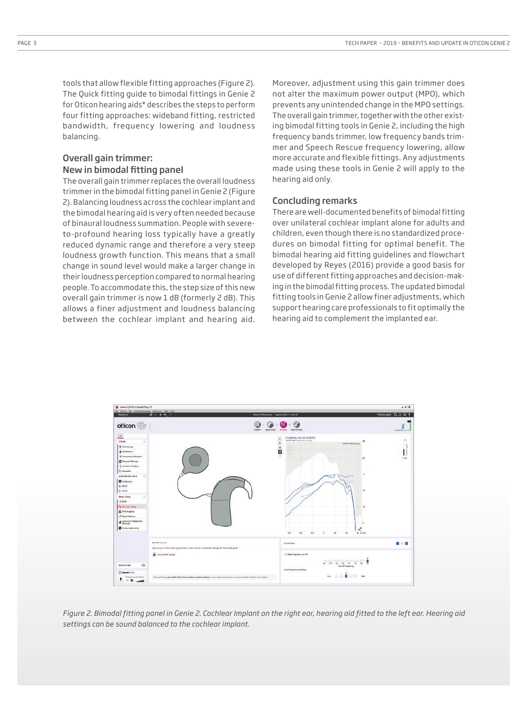tools that allow flexible fitting approaches (Figure 2). The Quick fitting guide to bimodal fittings in Genie 2 for Oticon hearing aids\* describes the steps to perform four fitting approaches: wideband fitting, restricted bandwidth, frequency lowering and loudness balancing.

## Overall gain trimmer: New in bimodal fitting panel

The overall gain trimmer replaces the overall loudness trimmer in the bimodal fitting panel in Genie 2 (Figure 2). Balancing loudness across the cochlear implant and the bimodal hearing aid is very often needed because of binaural loudness summation. People with severeto-profound hearing loss typically have a greatly reduced dynamic range and therefore a very steep loudness growth function. This means that a small change in sound level would make a larger change in their loudness perception compared to normal hearing people. To accommodate this, the step size of this new overall gain trimmer is now 1 dB (formerly 2 dB). This allows a finer adjustment and loudness balancing between the cochlear implant and hearing aid.

Moreover, adjustment using this gain trimmer does not alter the maximum power output (MPO), which prevents any unintended change in the MPO settings. The overall gain trimmer, together with the other existing bimodal fitting tools in Genie 2, including the high frequency bands trimmer, low frequency bands trimmer and Speech Rescue frequency lowering, allow more accurate and flexible fittings. Any adjustments made using these tools in Genie 2 will apply to the hearing aid only.

#### Concluding remarks

There are well-documented benefits of bimodal fitting over unilateral cochlear implant alone for adults and children, even though there is no standardized procedures on bimodal fitting for optimal benefit. The bimodal hearing aid fitting guidelines and flowchart developed by Reyes (2016) provide a good basis for use of different fitting approaches and decision-making in the bimodal fitting process. The updated bimodal fitting tools in Genie 2 allow finer adjustments, which support hearing care professionals to fit optimally the hearing aid to complement the implanted ear.



Figure 2. Bimodal fitting panel in Genie 2. Cochlear Implant on the right ear, hearing aid fitted to the left ear. Hearing aid *settings can be sound balanced to the cochlear implant.*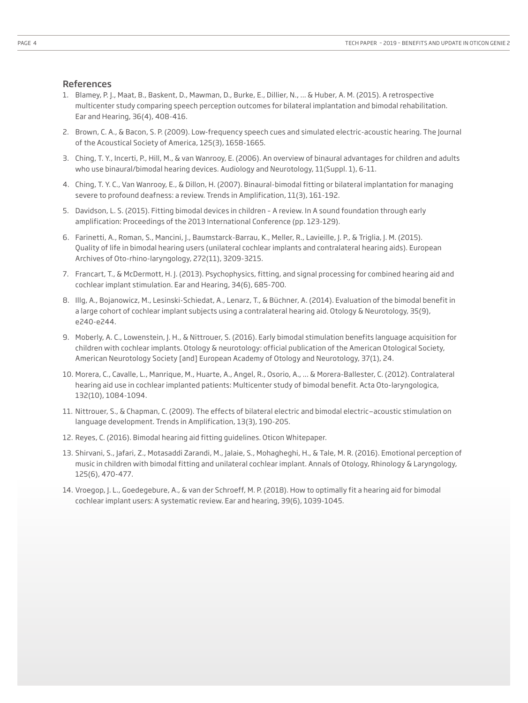### References

- 1. Blamey, P. J., Maat, B., Baskent, D., Mawman, D., Burke, E., Dillier, N., ... & Huber, A. M. (2015). A retrospective multicenter study comparing speech perception outcomes for bilateral implantation and bimodal rehabilitation. Ear and Hearing, 36(4), 408-416.
- 2. Brown, C. A., & Bacon, S. P. (2009). Low-frequency speech cues and simulated electric-acoustic hearing. The Journal of the Acoustical Society of America, 125(3), 1658-1665.
- 3. Ching, T. Y., Incerti, P., Hill, M., & van Wanrooy, E. (2006). An overview of binaural advantages for children and adults who use binaural/bimodal hearing devices. Audiology and Neurotology, 11(Suppl. 1), 6-11.
- 4. Ching, T. Y. C., Van Wanrooy, E., & Dillon, H. (2007). Binaural-bimodal fitting or bilateral implantation for managing severe to profound deafness: a review. Trends in Amplification, 11(3), 161-192.
- 5. Davidson, L. S. (2015). Fitting bimodal devices in children A review. In A sound foundation through early amplification: Proceedings of the 2013 International Conference (pp. 123-129).
- 6. Farinetti, A., Roman, S., Mancini, J., Baumstarck-Barrau, K., Meller, R., Lavieille, J. P., & Triglia, J. M. (2015). Quality of life in bimodal hearing users (unilateral cochlear implants and contralateral hearing aids). European Archives of Oto-rhino-laryngology, 272(11), 3209-3215.
- 7. Francart, T., & McDermott, H. J. (2013). Psychophysics, fitting, and signal processing for combined hearing aid and cochlear implant stimulation. Ear and Hearing, 34(6), 685-700.
- 8. Illg, A., Bojanowicz, M., Lesinski-Schiedat, A., Lenarz, T., & Büchner, A. (2014). Evaluation of the bimodal benefit in a large cohort of cochlear implant subjects using a contralateral hearing aid. Otology & Neurotology, 35(9), e240-e244.
- 9. Moberly, A. C., Lowenstein, J. H., & Nittrouer, S. (2016). Early bimodal stimulation benefits language acquisition for children with cochlear implants. Otology & neurotology: official publication of the American Otological Society, American Neurotology Society [and] European Academy of Otology and Neurotology, 37(1), 24.
- 10. Morera, C., Cavalle, L., Manrique, M., Huarte, A., Angel, R., Osorio, A., ... & Morera-Ballester, C. (2012). Contralateral hearing aid use in cochlear implanted patients: Multicenter study of bimodal benefit. Acta Oto-laryngologica, 132(10), 1084-1094.
- 11. Nittrouer, S., & Chapman, C. (2009). The effects of bilateral electric and bimodal electric—acoustic stimulation on language development. Trends in Amplification, 13(3), 190-205.
- 12. Reyes, C. (2016). Bimodal hearing aid fitting guidelines. Oticon Whitepaper.
- 13. Shirvani, S., Jafari, Z., Motasaddi Zarandi, M., Jalaie, S., Mohagheghi, H., & Tale, M. R. (2016). Emotional perception of music in children with bimodal fitting and unilateral cochlear implant. Annals of Otology, Rhinology & Laryngology, 125(6), 470-477.
- 14. Vroegop, J. L., Goedegebure, A., & van der Schroeff, M. P. (2018). How to optimally fit a hearing aid for bimodal cochlear implant users: A systematic review. Ear and hearing, 39(6), 1039-1045.